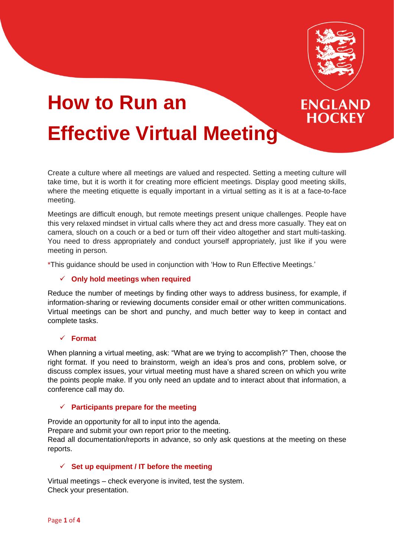

**ENGLAND HOCKEY** 

# **How to Run an Effective Virtual Meeting**

Create a culture where all meetings are valued and respected. Setting a meeting culture will take time, but it is worth it for creating more efficient meetings. Display good meeting skills, where the meeting etiquette is equally important in a virtual setting as it is at a face-to-face meeting.

Meetings are difficult enough, but remote meetings present unique challenges. People have this very relaxed mindset in virtual calls where they act and dress more casually. They eat on camera, slouch on a couch or a bed or turn off their video altogether and start multi-tasking. You need to dress appropriately and conduct yourself appropriately, just like if you were meeting in person.

\*This guidance should be used in conjunction with 'How to Run Effective Meetings.'

# ✓ **Only hold meetings when required**

Reduce the number of meetings by finding other ways to address business, for example, if information‑sharing or reviewing documents consider email or other written communications. Virtual meetings can be short and punchy, and much better way to keep in contact and complete tasks.

# ✓ **Format**

When planning a virtual meeting, ask: "What are we trying to accomplish?" Then, choose the right format. If you need to brainstorm, weigh an idea's pros and cons, problem solve, or discuss complex issues, your virtual meeting must have a shared screen on which you write the points people make. If you only need an update and to interact about that information, a conference call may do.

# ✓ **Participants prepare for the meeting**

Provide an opportunity for all to input into the agenda.

Prepare and submit your own report prior to the meeting.

Read all documentation/reports in advance, so only ask questions at the meeting on these reports.

# ✓ **Set up equipment / IT before the meeting**

Virtual meetings – check everyone is invited, test the system. Check your presentation.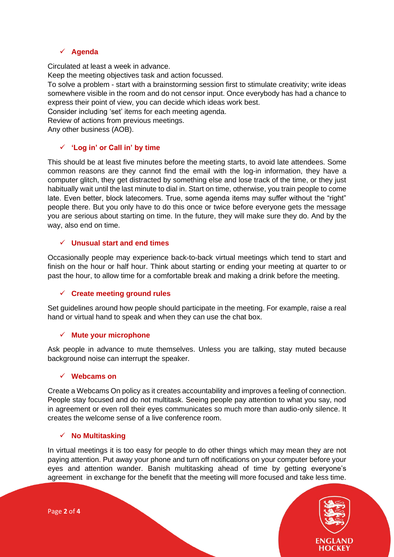# ✓ **Agenda**

Circulated at least a week in advance.

Keep the meeting objectives task and action focussed.

To solve a problem - start with a brainstorming session first to stimulate creativity; write ideas somewhere visible in the room and do not censor input. Once everybody has had a chance to express their point of view, you can decide which ideas work best.

Consider including 'set' items for each meeting agenda.

Review of actions from previous meetings.

Any other business (AOB).

# ✓ **'Log in' or Call in' by time**

This should be at least five minutes before the meeting starts, to avoid late attendees. Some common reasons are they cannot find the email with the log-in information, they have a computer glitch, they get distracted by something else and lose track of the time, or they just habitually wait until the last minute to dial in. Start on time, otherwise, you train people to come late. Even better, block latecomers. True, some agenda items may suffer without the "right" people there. But you only have to do this once or twice before everyone gets the message you are serious about starting on time. In the future, they will make sure they do. And by the way, also end on time.

# ✓ **Unusual start and end times**

Occasionally people may experience back-to-back virtual meetings which tend to start and finish on the hour or half hour. Think about starting or ending your meeting at quarter to or past the hour, to allow time for a comfortable break and making a drink before the meeting.

# ✓ **Create meeting ground rules**

Set guidelines around how people should participate in the meeting. For example, raise a real hand or virtual hand to speak and when they can use the chat box.

# ✓ **Mute your microphone**

Ask people in advance to mute themselves. Unless you are talking, stay muted because background noise can interrupt the speaker.

# ✓ **Webcams on**

Create a Webcams On policy as it creates accountability and improves a feeling of connection. People stay focused and do not multitask. Seeing people pay attention to what you say, nod in agreement or even roll their eyes communicates so much more than audio-only silence. It creates the welcome sense of a live conference room.

# ✓ **No Multitasking**

In virtual meetings it is too easy for people to do other things which may mean they are not paying attention. Put away your phone and turn off notifications on your computer before your eyes and attention wander. Banish multitasking ahead of time by getting everyone's agreement in exchange for the benefit that the meeting will more focused and take less time.



Page **2** of **4**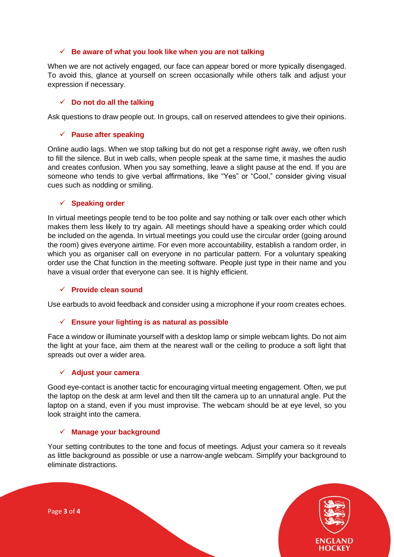#### ✓ **Be aware of what you look like when you are not talking**

When we are not actively engaged, our face can appear bored or more typically disengaged. To avoid this, glance at yourself on screen occasionally while others talk and adjust your expression if necessary.

#### ✓ **Do not do all the talking**

Ask questions to draw people out. In groups, call on reserved attendees to give their opinions.

## ✓ **Pause after speaking**

Online audio lags. When we stop talking but do not get a response right away, we often rush to fill the silence. But in web calls, when people speak at the same time, it mashes the audio and creates confusion. When you say something, leave a slight pause at the end. If you are someone who tends to give verbal affirmations, like "Yes" or "Cool," consider giving visual cues such as nodding or smiling.

#### ✓ **Speaking order**

In virtual meetings people tend to be too polite and say nothing or talk over each other which makes them less likely to try again. All meetings should have a speaking order which could be included on the agenda. In virtual meetings you could use the circular order (going around the room) gives everyone airtime. For even more accountability, establish a random order, in which you as organiser call on everyone in no particular pattern. For a voluntary speaking order use the Chat function in the meeting software. People just type in their name and you have a visual order that everyone can see. It is highly efficient.

#### ✓ **Provide clean sound**

Use earbuds to avoid feedback and consider using a microphone if your room creates echoes.

# ✓ **Ensure your lighting is as natural as possible**

Face a window or illuminate yourself with a desktop lamp or simple webcam lights. Do not aim the light at your face, aim them at the nearest wall or the ceiling to produce a soft light that spreads out over a wider area.

#### ✓ **Adjust your camera**

Good eye-contact is another tactic for encouraging virtual meeting engagement. Often, we put the laptop on the desk at arm level and then tilt the camera up to an unnatural angle. Put the laptop on a stand, even if you must improvise. The webcam should be at eye level, so you look straight into the camera.

#### ✓ **Manage your background**

Your setting contributes to the tone and focus of meetings. Adjust your camera so it reveals as little background as possible or use a narrow-angle webcam. Simplify your background to eliminate distractions.



Page **3** of **4**